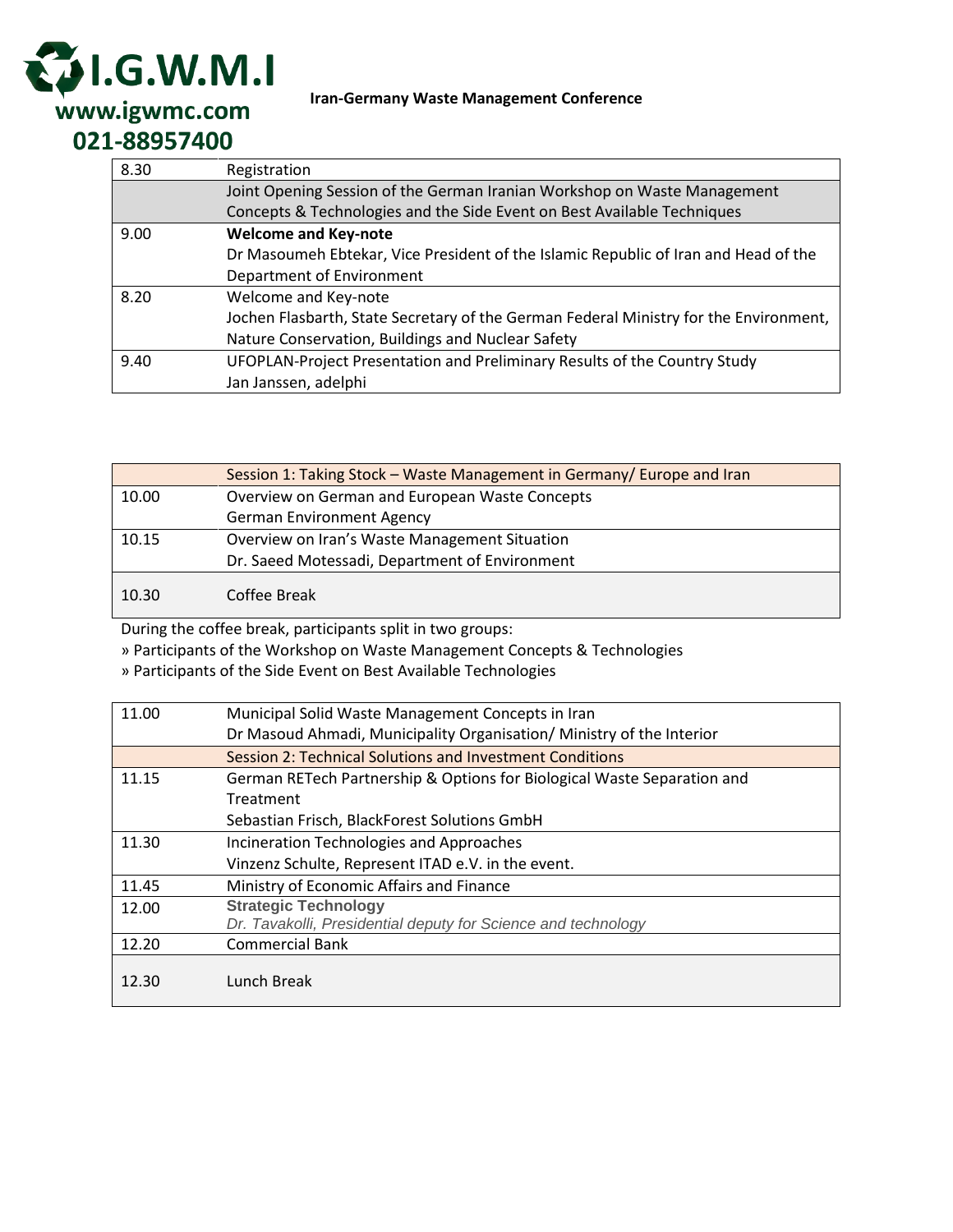

**Iran-Germany Waste Management Conference**

| 8.30 | Registration                                                                          |
|------|---------------------------------------------------------------------------------------|
|      | Joint Opening Session of the German Iranian Workshop on Waste Management              |
|      | Concepts & Technologies and the Side Event on Best Available Techniques               |
| 9.00 | <b>Welcome and Key-note</b>                                                           |
|      | Dr Masoumeh Ebtekar, Vice President of the Islamic Republic of Iran and Head of the   |
|      | Department of Environment                                                             |
| 8.20 | Welcome and Key-note                                                                  |
|      | Jochen Flasbarth, State Secretary of the German Federal Ministry for the Environment, |
|      | Nature Conservation, Buildings and Nuclear Safety                                     |
| 9.40 | UFOPLAN-Project Presentation and Preliminary Results of the Country Study             |
|      | Jan Janssen, adelphi                                                                  |

|       | Session 1: Taking Stock - Waste Management in Germany/ Europe and Iran |
|-------|------------------------------------------------------------------------|
| 10.00 | Overview on German and European Waste Concepts                         |
|       | <b>German Environment Agency</b>                                       |
| 10.15 | Overview on Iran's Waste Management Situation                          |
|       | Dr. Saeed Motessadi, Department of Environment                         |
| 10.30 | Coffee Break                                                           |

During the coffee break, participants split in two groups:

» Participants of the Workshop on Waste Management Concepts & Technologies

» Participants of the Side Event on Best Available Technologies

| 11.00 | Municipal Solid Waste Management Concepts in Iran                       |
|-------|-------------------------------------------------------------------------|
|       | Dr Masoud Ahmadi, Municipality Organisation/ Ministry of the Interior   |
|       | Session 2: Technical Solutions and Investment Conditions                |
| 11.15 | German RETech Partnership & Options for Biological Waste Separation and |
|       | Treatment                                                               |
|       | Sebastian Frisch, BlackForest Solutions GmbH                            |
| 11.30 | Incineration Technologies and Approaches                                |
|       | Vinzenz Schulte, Represent ITAD e.V. in the event.                      |
| 11.45 | Ministry of Economic Affairs and Finance                                |
| 12.00 | <b>Strategic Technology</b>                                             |
|       | Dr. Tavakolli, Presidential deputy for Science and technology           |
| 12.20 | <b>Commercial Bank</b>                                                  |
| 12.30 | Lunch Break                                                             |